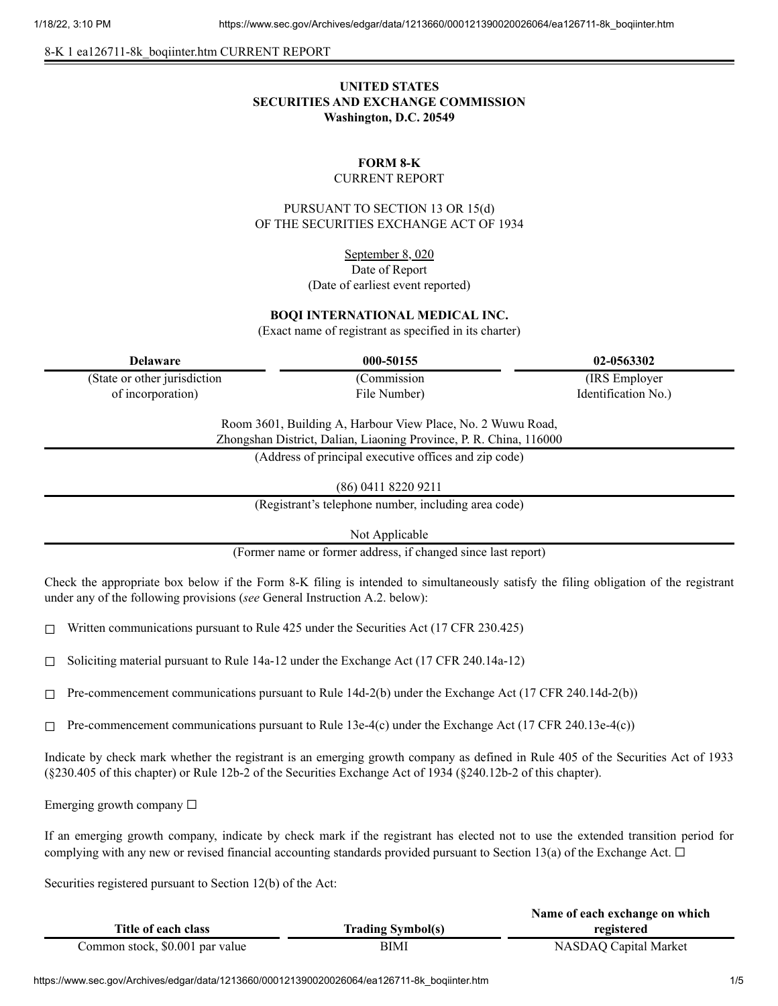8-K 1 ea126711-8k\_boqiinter.htm CURRENT REPORT

# **UNITED STATES SECURITIES AND EXCHANGE COMMISSION Washington, D.C. 20549**

#### **FORM 8-K** CURRENT REPORT

PURSUANT TO SECTION 13 OR 15(d) OF THE SECURITIES EXCHANGE ACT OF 1934

> September 8, 020 Date of Report (Date of earliest event reported)

## **BOQI INTERNATIONAL MEDICAL INC.**

(Exact name of registrant as specified in its charter)

(State or other jurisdiction of incorporation)

(Commission

**Delaware 000-50155 02-0563302** (IRS Employer Identification No.)

> Room 3601, Building A, Harbour View Place, No. 2 Wuwu Road, Zhongshan District, Dalian, Liaoning Province, P. R. China, 116000

File Number)

(Address of principal executive offices and zip code)

(86) 0411 8220 9211

(Registrant's telephone number, including area code)

Not Applicable

(Former name or former address, if changed since last report)

Check the appropriate box below if the Form 8-K filing is intended to simultaneously satisfy the filing obligation of the registrant under any of the following provisions (*see* General Instruction A.2. below):

 $\Box$  Written communications pursuant to Rule 425 under the Securities Act (17 CFR 230.425)

 $\Box$  Soliciting material pursuant to Rule 14a-12 under the Exchange Act (17 CFR 240.14a-12)

 $\Box$  Pre-commencement communications pursuant to Rule 14d-2(b) under the Exchange Act (17 CFR 240.14d-2(b))

 $\Box$  Pre-commencement communications pursuant to Rule 13e-4(c) under the Exchange Act (17 CFR 240.13e-4(c))

Indicate by check mark whether the registrant is an emerging growth company as defined in Rule 405 of the Securities Act of 1933 (§230.405 of this chapter) or Rule 12b-2 of the Securities Exchange Act of 1934 (§240.12b-2 of this chapter).

Emerging growth company  $\Box$ 

If an emerging growth company, indicate by check mark if the registrant has elected not to use the extended transition period for complying with any new or revised financial accounting standards provided pursuant to Section 13(a) of the Exchange Act.  $\Box$ 

Securities registered pursuant to Section 12(b) of the Act:

|                                 |                          | Name of each exchange on which |
|---------------------------------|--------------------------|--------------------------------|
| Title of each class             | <b>Trading Symbol(s)</b> | registered                     |
| Common stock, \$0.001 par value | BIMI                     | NASDAQ Capital Market          |

https://www.sec.gov/Archives/edgar/data/1213660/000121390020026064/ea126711-8k\_boqiinter.htm 1/5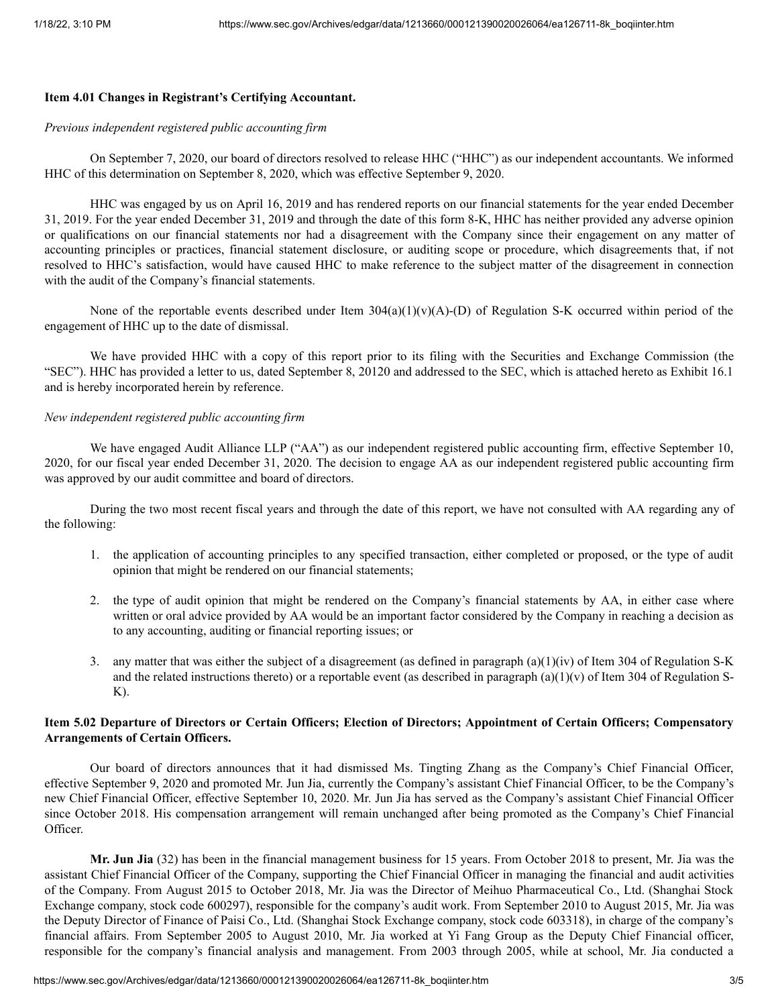## **Item 4.01 Changes in Registrant's Certifying Accountant.**

#### *Previous independent registered public accounting firm*

On September 7, 2020, our board of directors resolved to release HHC ("HHC") as our independent accountants. We informed HHC of this determination on September 8, 2020, which was effective September 9, 2020.

HHC was engaged by us on April 16, 2019 and has rendered reports on our financial statements for the year ended December 31, 2019. For the year ended December 31, 2019 and through the date of this form 8-K, HHC has neither provided any adverse opinion or qualifications on our financial statements nor had a disagreement with the Company since their engagement on any matter of accounting principles or practices, financial statement disclosure, or auditing scope or procedure, which disagreements that, if not resolved to HHC's satisfaction, would have caused HHC to make reference to the subject matter of the disagreement in connection with the audit of the Company's financial statements.

None of the reportable events described under Item  $304(a)(1)(v)(A)$ -(D) of Regulation S-K occurred within period of the engagement of HHC up to the date of dismissal.

We have provided HHC with a copy of this report prior to its filing with the Securities and Exchange Commission (the "SEC"). HHC has provided a letter to us, dated September 8, 20120 and addressed to the SEC, which is attached hereto as Exhibit 16.1 and is hereby incorporated herein by reference.

#### *New independent registered public accounting firm*

We have engaged Audit Alliance LLP ("AA") as our independent registered public accounting firm, effective September 10, 2020, for our fiscal year ended December 31, 2020. The decision to engage AA as our independent registered public accounting firm was approved by our audit committee and board of directors.

During the two most recent fiscal years and through the date of this report, we have not consulted with AA regarding any of the following:

- 1. the application of accounting principles to any specified transaction, either completed or proposed, or the type of audit opinion that might be rendered on our financial statements;
- 2. the type of audit opinion that might be rendered on the Company's financial statements by AA, in either case where written or oral advice provided by AA would be an important factor considered by the Company in reaching a decision as to any accounting, auditing or financial reporting issues; or
- 3. any matter that was either the subject of a disagreement (as defined in paragraph  $(a)(1)(iv)$  of Item 304 of Regulation S-K and the related instructions thereto) or a reportable event (as described in paragraph  $(a)(1)(v)$  of Item 304 of Regulation S-K).

## Item 5.02 Departure of Directors or Certain Officers; Election of Directors; Appointment of Certain Officers; Compensatory **Arrangements of Certain Officers.**

Our board of directors announces that it had dismissed Ms. Tingting Zhang as the Company's Chief Financial Officer, effective September 9, 2020 and promoted Mr. Jun Jia, currently the Company's assistant Chief Financial Officer, to be the Company's new Chief Financial Officer, effective September 10, 2020. Mr. Jun Jia has served as the Company's assistant Chief Financial Officer since October 2018. His compensation arrangement will remain unchanged after being promoted as the Company's Chief Financial Officer.

**Mr. Jun Jia** (32) has been in the financial management business for 15 years. From October 2018 to present, Mr. Jia was the assistant Chief Financial Officer of the Company, supporting the Chief Financial Officer in managing the financial and audit activities of the Company. From August 2015 to October 2018, Mr. Jia was the Director of Meihuo Pharmaceutical Co., Ltd. (Shanghai Stock Exchange company, stock code 600297), responsible for the company's audit work. From September 2010 to August 2015, Mr. Jia was the Deputy Director of Finance of Paisi Co., Ltd. (Shanghai Stock Exchange company, stock code 603318), in charge of the company's financial affairs. From September 2005 to August 2010, Mr. Jia worked at Yi Fang Group as the Deputy Chief Financial officer, responsible for the company's financial analysis and management. From 2003 through 2005, while at school, Mr. Jia conducted a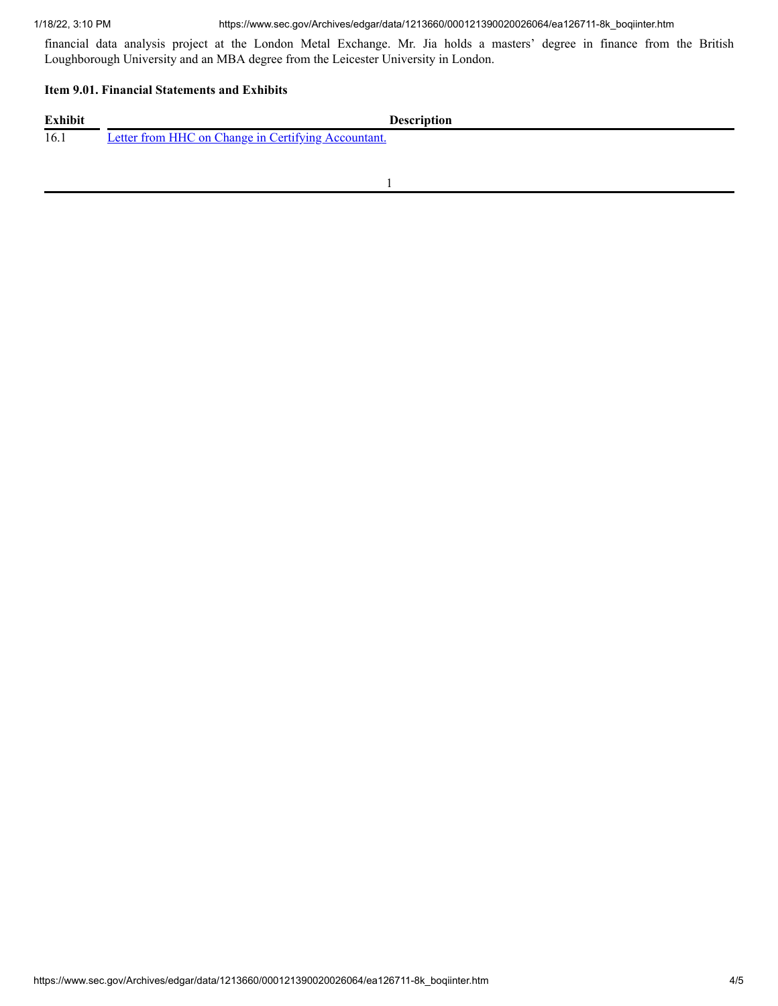financial data analysis project at the London Metal Exchange. Mr. Jia holds a masters' degree in finance from the British Loughborough University and an MBA degree from the Leicester University in London.

#### **Item 9.01. Financial Statements and Exhibits**

| <b>Exhibit</b> | <b>Description</b>                                  |
|----------------|-----------------------------------------------------|
| 16.1           | Letter from HHC on Change in Certifying Accountant. |